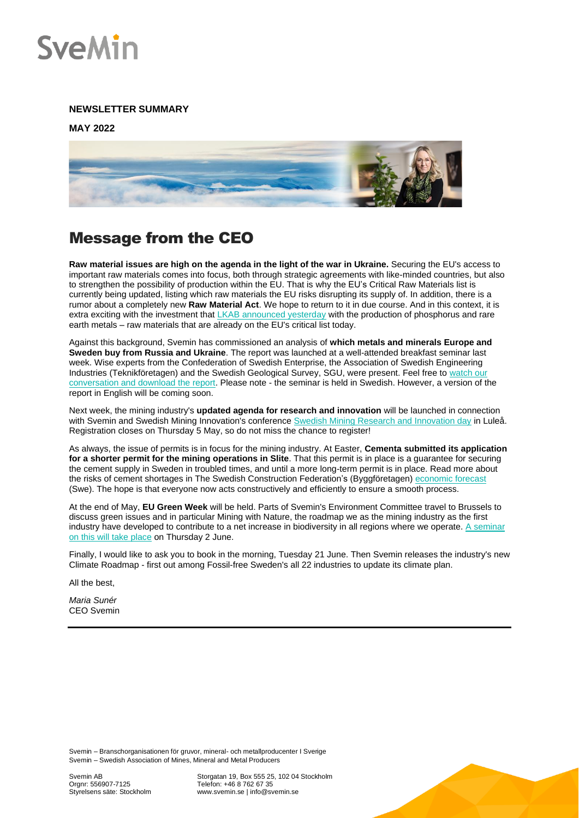

#### **NEWSLETTER SUMMARY**

**MAY 2022**



## Message from the CEO

**Raw material issues are high on the agenda in the light of the war in Ukraine.** Securing the EU's access to important raw materials comes into focus, both through strategic agreements with like-minded countries, but also to strengthen the possibility of production within the EU. That is why the EU's Critical Raw Materials list is currently being updated, listing which raw materials the EU risks disrupting its supply of. In addition, there is a rumor about a completely new **Raw Material Act**. We hope to return to it in due course. And in this context, it is extra exciting with the investment that [LKAB announced yesterday](https://www.lkab.com/en/news-room/press-releases/lkab-chooses-lulea-for-the-circular-industrial-park-for-phosphorus-and-rare-earth-elements/) with the production of phosphorus and rare earth metals – raw materials that are already on the EU's critical list today.

Against this background, Svemin has commissioned an analysis of **which metals and minerals Europe and Sweden buy from Russia and Ukraine**. The report was launched at a well-attended breakfast seminar last week. Wise experts from the Confederation of Swedish Enterprise, the Association of Swedish Engineering Industries (Teknikföretagen) and the Swedish Geological Survey, SGU, were present. Feel free to watch our [conversation and download the report.](https://www.svemin.se/aktuellt/nyhet/valkommen-till-frukostseminarium/) Please note - the seminar is held in Swedish. However, a version of the report in English will be coming soon.

Next week, the mining industry's **updated agenda for research and innovation** will be launched in connection with Svemin and Swedish Mining Innovation's conference [Swedish Mining Research and Innovation day](https://www.swedishmininginnovation.se/sv/research-and-innovation-day/) in Luleå. Registration closes on Thursday 5 May, so do not miss the chance to register!

As always, the issue of permits is in focus for the mining industry. At Easter, **Cementa submitted its application for a shorter permit for the mining operations in Slite**. That this permit is in place is a guarantee for securing the cement supply in Sweden in troubled times, and until a more long-term permit is in place. Read more about the risks of cement shortages in The Swedish Construction Federation's (Byggföretagen) [economic forecast](https://byggforetagen.se/statistik/byggkonjunkturen-20202/) (Swe). The hope is that everyone now acts constructively and efficiently to ensure a smooth process.

At the end of May, **EU Green Week** will be held. Parts of Svemin's Environment Committee travel to Brussels to discuss green issues and in particular Mining with Nature, the roadmap we as the mining industry as the first industry have developed to contribute to a net increase in biodiversity in all regions where we operate[. A seminar](https://www.svemin.se/aktuellt/kalender/eu-green-week-mining-with-nature-seminar/)  [on this will take place](https://www.svemin.se/aktuellt/kalender/eu-green-week-mining-with-nature-seminar/) on Thursday 2 June.

Finally, I would like to ask you to book in the morning, Tuesday 21 June. Then Svemin releases the industry's new Climate Roadmap - first out among Fossil-free Sweden's all 22 industries to update its climate plan.

All the best,

*Maria Sunér* CEO Svemin

Svemin – Branschorganisationen för gruvor, mineral- och metallproducenter I Sverige Svemin – Swedish Association of Mines, Mineral and Metal Producers

Storgatan 19, Box 555 25, 102 04 Stockholm Telefon: +46 8 762 67 35 www.svemin.se | info@svemin.se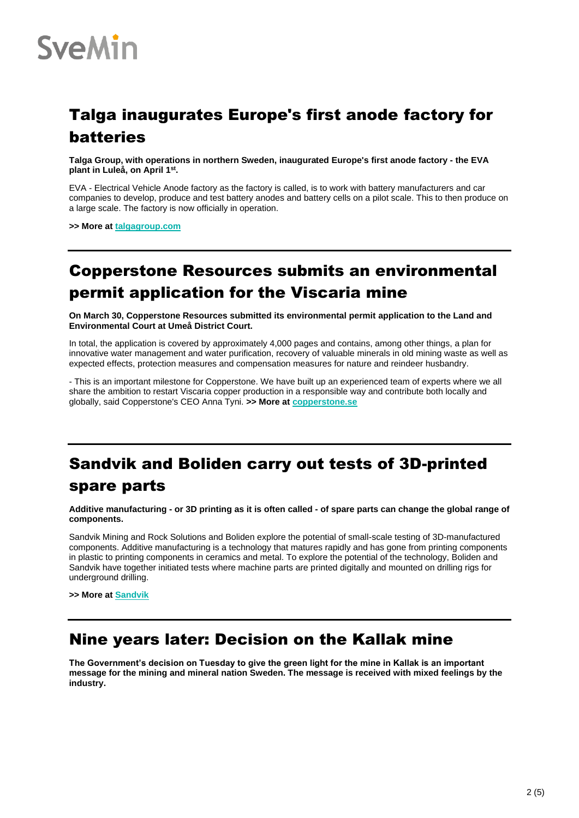

# Talga inaugurates Europe's first anode factory for batteries

**Talga Group, with operations in northern Sweden, inaugurated Europe's first anode factory - the EVA plant in Luleå, on April 1st .** 

EVA - Electrical Vehicle Anode factory as the factory is called, is to work with battery manufacturers and car companies to develop, produce and test battery anodes and battery cells on a pilot scale. This to then produce on a large scale. The factory is now officially in operation.

**>> More a[t talgagroup.com](https://www.talgagroup.com/)**

## Copperstone Resources submits an environmental permit application for the Viscaria mine

**On March 30, Copperstone Resources submitted its environmental permit application to the Land and Environmental Court at Umeå District Court.**

In total, the application is covered by approximately 4,000 pages and contains, among other things, a plan for innovative water management and water purification, recovery of valuable minerals in old mining waste as well as expected effects, protection measures and compensation measures for nature and reindeer husbandry.

- This is an important milestone for Copperstone. We have built up an experienced team of experts where we all share the ambition to restart Viscaria copper production in a responsible way and contribute both locally and globally, said Copperstone's CEO Anna Tyni. **>> More a[t copperstone.se](https://copperstone.se/sv/copperstone-resources-submits-an-environmental-permit-application-for-the-viscaria-mine/)**

# Sandvik and Boliden carry out tests of 3D-printed spare parts

**Additive manufacturing - or 3D printing as it is often called - of spare parts can change the global range of components.** 

Sandvik Mining and Rock Solutions and Boliden explore the potential of small-scale testing of 3D-manufactured components. Additive manufacturing is a technology that matures rapidly and has gone from printing components in plastic to printing components in ceramics and metal. To explore the potential of the technology, Boliden and Sandvik have together initiated tests where machine parts are printed digitally and mounted on drilling rigs for underground drilling.

**>> More a[t Sandvik](https://www.rocktechnology.sandvik/en/news-and-media/news-archive/2022/03/sandvik-partners-with-boliden-on-3d-printing-trial/)**

### Nine years later: Decision on the Kallak mine

**The Government's decision on Tuesday to give the green light for the mine in Kallak is an important message for the mining and mineral nation Sweden. The message is received with mixed feelings by the industry.**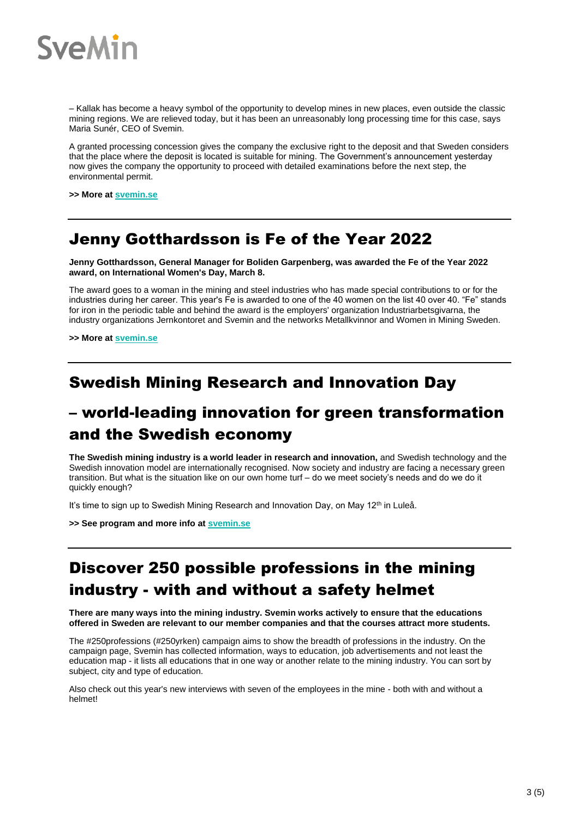

– Kallak has become a heavy symbol of the opportunity to develop mines in new places, even outside the classic mining regions. We are relieved today, but it has been an unreasonably long processing time for this case, says Maria Sunér, CEO of Svemin.

A granted processing concession gives the company the exclusive right to the deposit and that Sweden considers that the place where the deposit is located is suitable for mining. The Government's announcement yesterday now gives the company the opportunity to proceed with detailed examinations before the next step, the environmental permit.

**>> More a[t svemin.se](https://www.svemin.se/en/news/news/nine-years-later-decision-on-the-kallak-mine/)**

### Jenny Gotthardsson is Fe of the Year 2022

**Jenny Gotthardsson, General Manager for Boliden Garpenberg, was awarded the Fe of the Year 2022 award, on International Women's Day, March 8.**

The award goes to a woman in the mining and steel industries who has made special contributions to or for the industries during her career. This year's Fe is awarded to one of the 40 women on the list 40 over 40. "Fe" stands for iron in the periodic table and behind the award is the employers' organization Industriarbetsgivarna, the industry organizations Jernkontoret and Svemin and the networks Metallkvinnor and Women in Mining Sweden.

**>> More a[t svemin.se](https://www.svemin.se/en/news/news/jenny-gotthardsson-fe-of-the-year/)**

#### Swedish Mining Research and Innovation Day

### – world-leading innovation for green transformation and the Swedish economy

**The Swedish mining industry is a world leader in research and innovation,** and Swedish technology and the Swedish innovation model are internationally recognised. Now society and industry are facing a necessary green transition. But what is the situation like on our own home turf – do we meet society's needs and do we do it quickly enough?

It's time to sign up to Swedish Mining Research and Innovation Day, on May 12<sup>th</sup> in Luleå.

**>> See program and more info at [svemin.se](https://www.svemin.se/en/news/kalender/swedish-mining-research-innovation-day-2022/)**

## Discover 250 possible professions in the mining industry - with and without a safety helmet

**There are many ways into the mining industry. Svemin works actively to ensure that the educations offered in Sweden are relevant to our member companies and that the courses attract more students.**

The #250professions (#250yrken) campaign aims to show the breadth of professions in the industry. On the campaign page, Svemin has collected information, ways to education, job advertisements and not least the education map - it lists all educations that in one way or another relate to the mining industry. You can sort by subject, city and type of education.

Also check out this year's new interviews with seven of the employees in the mine - both with and without a helmet!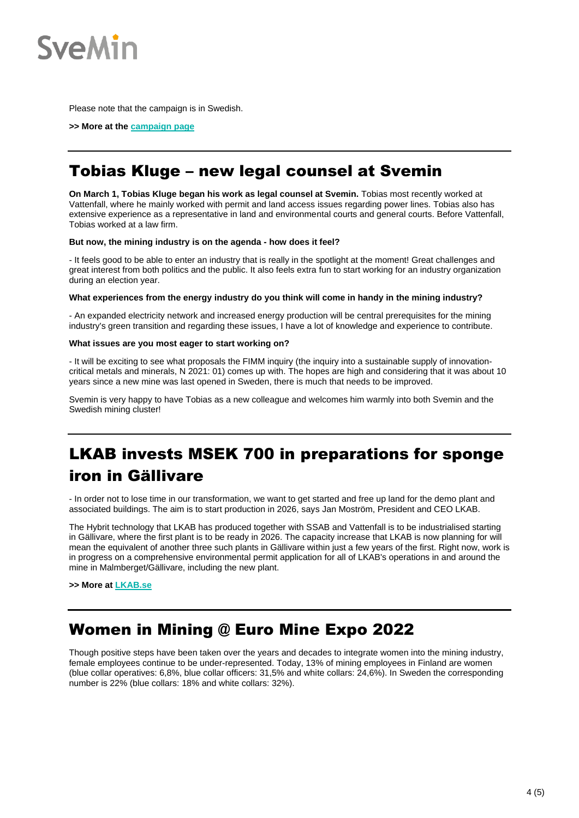

Please note that the campaign is in Swedish.

**>> More at th[e campaign page](https://www.svemin.se/250yrken/)**

## Tobias Kluge – new legal counsel at Svemin

**On March 1, Tobias Kluge began his work as legal counsel at Svemin.** Tobias most recently worked at Vattenfall, where he mainly worked with permit and land access issues regarding power lines. Tobias also has extensive experience as a representative in land and environmental courts and general courts. Before Vattenfall, Tobias worked at a law firm.

#### **But now, the mining industry is on the agenda - how does it feel?**

- It feels good to be able to enter an industry that is really in the spotlight at the moment! Great challenges and great interest from both politics and the public. It also feels extra fun to start working for an industry organization during an election year.

#### **What experiences from the energy industry do you think will come in handy in the mining industry?**

- An expanded electricity network and increased energy production will be central prerequisites for the mining industry's green transition and regarding these issues, I have a lot of knowledge and experience to contribute.

#### **What issues are you most eager to start working on?**

- It will be exciting to see what proposals the FIMM inquiry (the inquiry into a sustainable supply of innovationcritical metals and minerals, N 2021: 01) comes up with. The hopes are high and considering that it was about 10 years since a new mine was last opened in Sweden, there is much that needs to be improved.

Svemin is very happy to have Tobias as a new colleague and welcomes him warmly into both Svemin and the Swedish mining cluster!

# LKAB invests MSEK 700 in preparations for sponge iron in Gällivare

- In order not to lose time in our transformation, we want to get started and free up land for the demo plant and associated buildings. The aim is to start production in 2026, says Jan Moström, President and CEO LKAB.

The Hybrit technology that LKAB has produced together with SSAB and Vattenfall is to be industrialised starting in Gällivare, where the first plant is to be ready in 2026. The capacity increase that LKAB is now planning for will mean the equivalent of another three such plants in Gällivare within just a few years of the first. Right now, work is in progress on a comprehensive environmental permit application for all of LKAB's operations in and around the mine in Malmberget/Gällivare, including the new plant.

**>> More a[t LKAB.se](https://www.lkab.com/en/news-room/press-releases/lkab-invests-msek-700-in-preparations-for-sponge-iron-in-gallivare/?aid=16447)**

### Women in Mining @ Euro Mine Expo 2022

Though positive steps have been taken over the years and decades to integrate women into the mining industry, female employees continue to be under-represented. Today, 13% of mining employees in Finland are women (blue collar operatives: 6,8%, blue collar officers: 31,5% and white collars: 24,6%). In Sweden the corresponding number is 22% (blue collars: 18% and white collars: 32%).